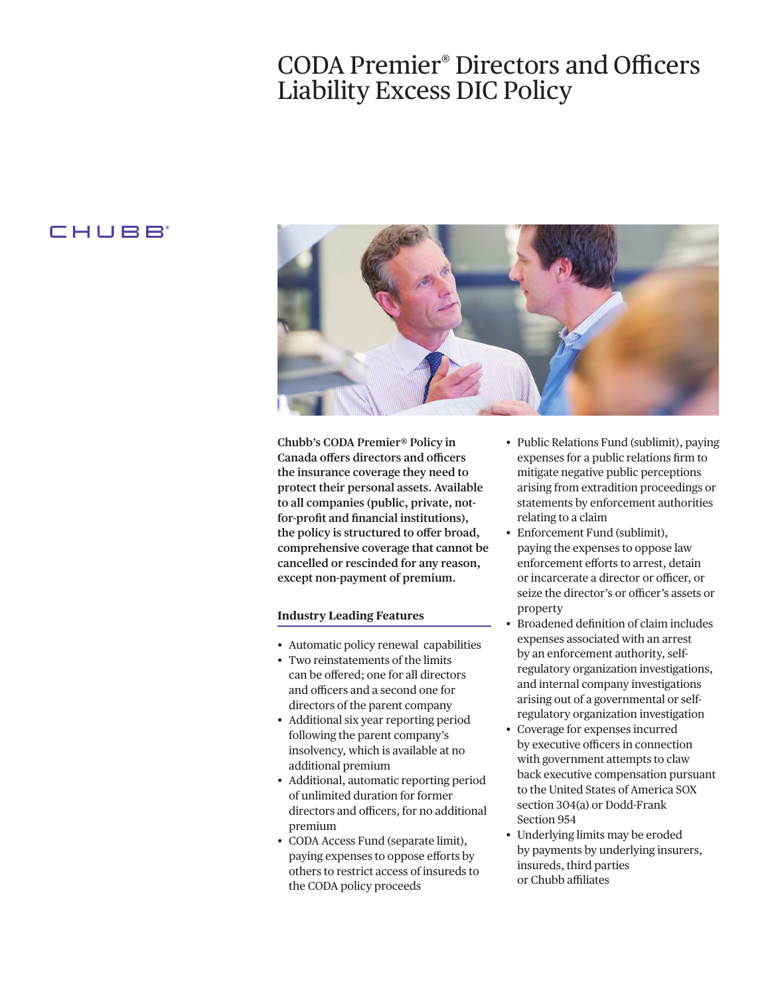## CODA Premier<sup>®</sup> Directors and Officers Liability Excess DIC Policy

## CHUBB



**Chubb's CODA Premier® Policy in Canada offers directors and officers the insurance coverage they need to protect their personal assets. Available to all companies (public, private, notfor-proft and fnancial institutions), the policy is structured to ofer broad, comprehensive coverage that cannot be cancelled or rescinded for any reason, except non-payment of premium.** 

## **Industry Leading Features**

- Automatic policy renewal capabilities
- Two reinstatements of the limits can be ofered; one for all directors and officers and a second one for directors of the parent company
- Additional six year reporting period following the parent company's insolvency, which is available at no additional premium
- Additional, automatic reporting period of unlimited duration for former directors and officers, for no additional premium
- CODA Access Fund (separate limit), paying expenses to oppose eforts by others to restrict access of insureds to the CODA policy proceeds
- Public Relations Fund (sublimit), paying expenses for a public relations frm to mitigate negative public perceptions arising from extradition proceedings or statements by enforcement authorities relating to a claim
- Enforcement Fund (sublimit), paying the expenses to oppose law enforcement eforts to arrest, detain or incarcerate a director or officer, or seize the director's or officer's assets or property
- Broadened defnition of claim includes expenses associated with an arrest by an enforcement authority, selfregulatory organization investigations, and internal company investigations arising out of a governmental or selfregulatory organization investigation
- Coverage for expenses incurred by executive officers in connection with government attempts to claw back executive compensation pursuant to the United States of America SOX section 304(a) or Dodd-Frank Section 954
- Underlying limits may be eroded by payments by underlying insurers, insureds, third parties or Chubb affiliates